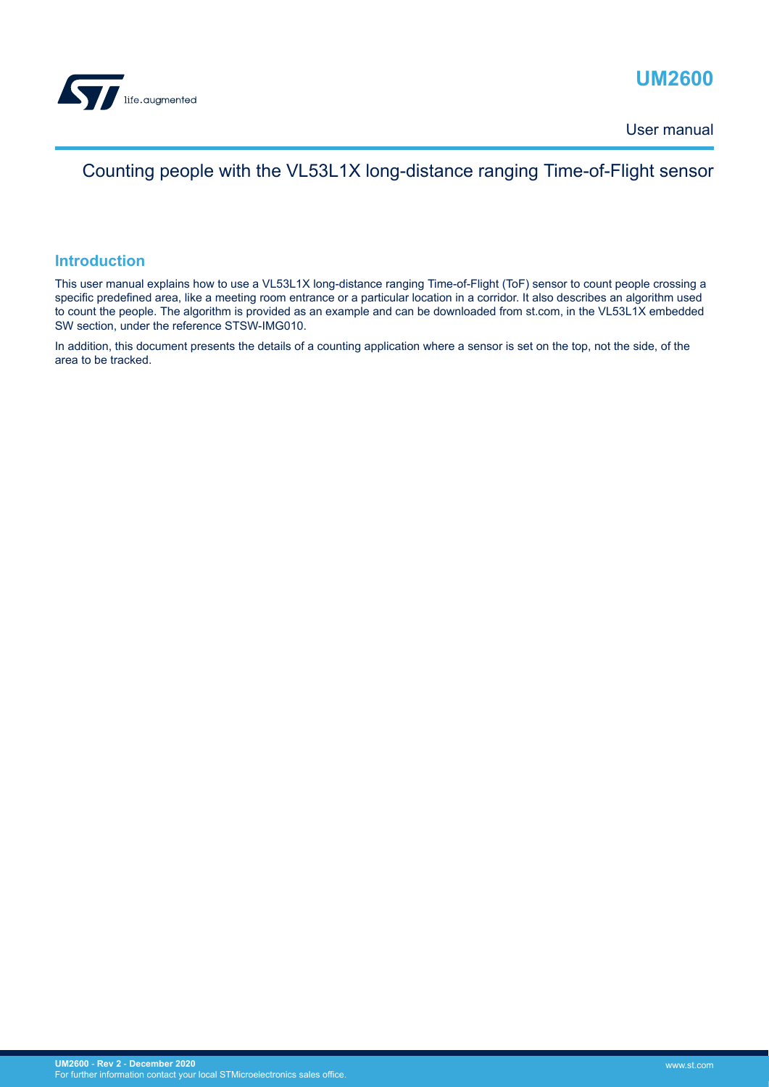

# **UM2600**

User manual

## Counting people with the VL53L1X long-distance ranging Time-of-Flight sensor

### **Introduction**

This user manual explains how to use a VL53L1X long-distance ranging Time-of-Flight (ToF) sensor to count people crossing a specific predefined area, like a meeting room entrance or a particular location in a corridor. It also describes an algorithm used to count the people. The algorithm is provided as an example and can be downloaded from st.com, in the VL53L1X embedded SW section, under the reference STSW-IMG010.

In addition, this document presents the details of a counting application where a sensor is set on the top, not the side, of the area to be tracked.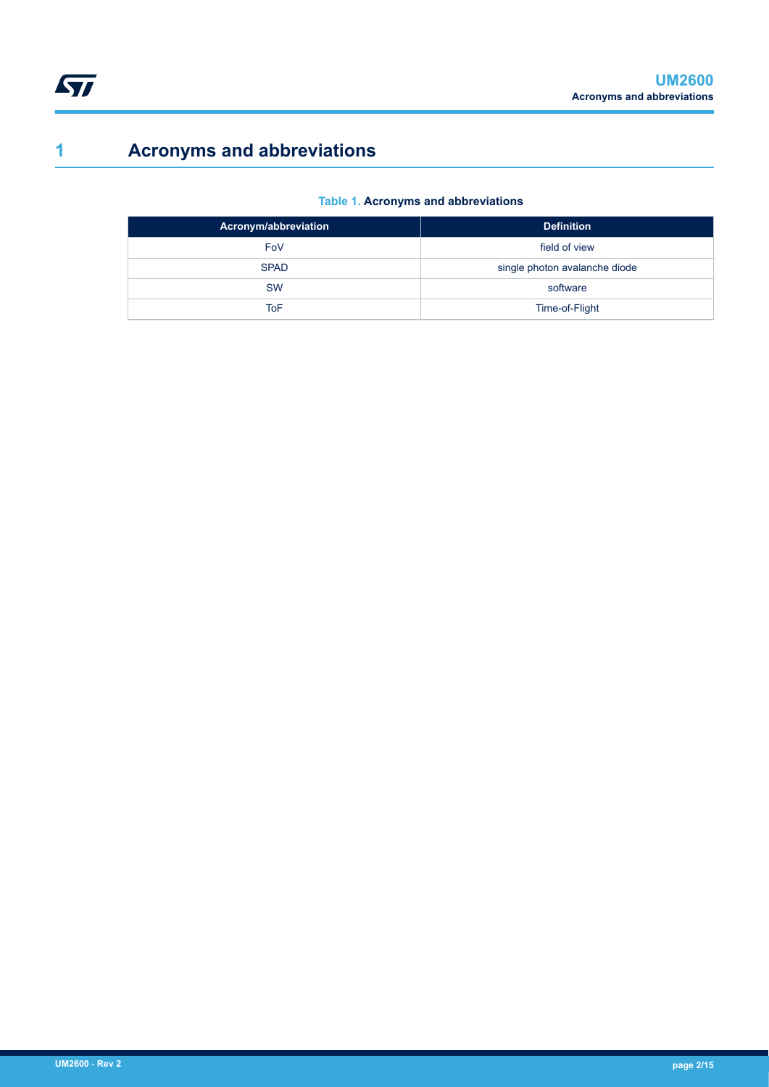# <span id="page-1-0"></span>**1 Acronyms and abbreviations**

### **Table 1. Acronyms and abbreviations**

| Acronym/abbreviation | <b>Definition</b>             |
|----------------------|-------------------------------|
| FoV                  | field of view                 |
| <b>SPAD</b>          | single photon avalanche diode |
| <b>SW</b>            | software                      |
| ToF                  | Time-of-Flight                |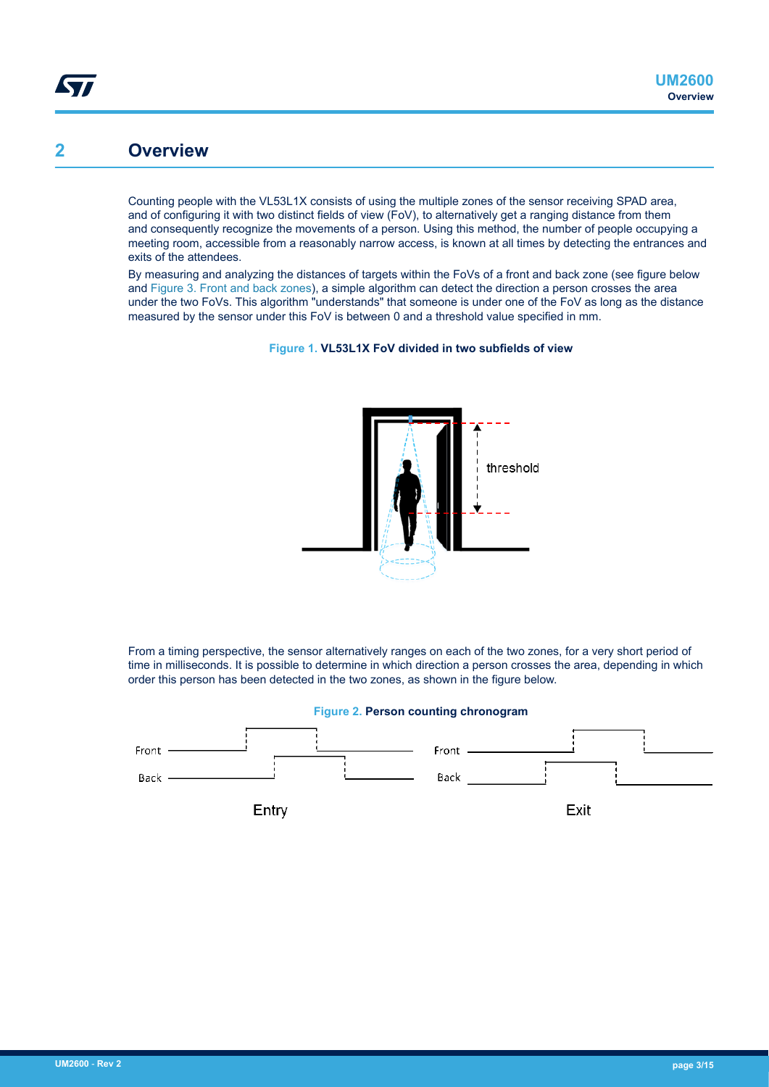## <span id="page-2-0"></span>**2 Overview**

Counting people with the VL53L1X consists of using the multiple zones of the sensor receiving SPAD area, and of configuring it with two distinct fields of view (FoV), to alternatively get a ranging distance from them and consequently recognize the movements of a person. Using this method, the number of people occupying a meeting room, accessible from a reasonably narrow access, is known at all times by detecting the entrances and exits of the attendees.

By measuring and analyzing the distances of targets within the FoVs of a front and back zone (see figure below and [Figure 3. Front and back zones](#page-3-0)), a simple algorithm can detect the direction a person crosses the area under the two FoVs. This algorithm "understands" that someone is under one of the FoV as long as the distance measured by the sensor under this FoV is between 0 and a threshold value specified in mm.





From a timing perspective, the sensor alternatively ranges on each of the two zones, for a very short period of time in milliseconds. It is possible to determine in which direction a person crosses the area, depending in which order this person has been detected in the two zones, as shown in the figure below.

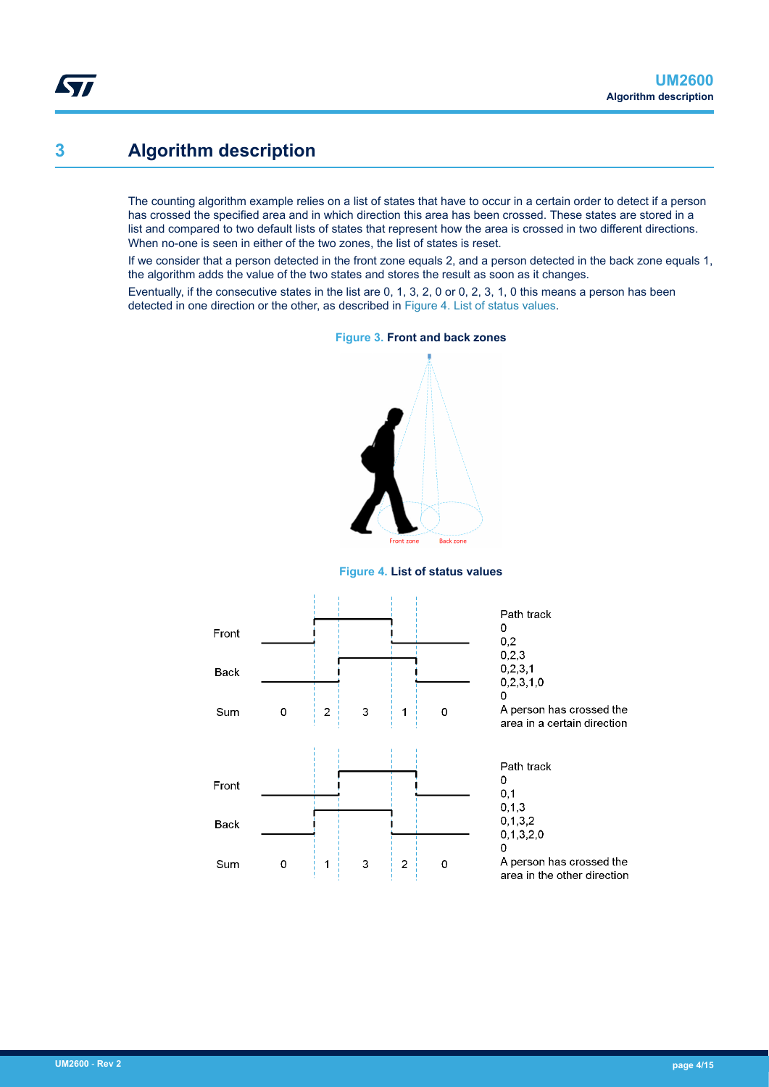## <span id="page-3-0"></span>**3 Algorithm description**

The counting algorithm example relies on a list of states that have to occur in a certain order to detect if a person has crossed the specified area and in which direction this area has been crossed. These states are stored in a list and compared to two default lists of states that represent how the area is crossed in two different directions. When no-one is seen in either of the two zones, the list of states is reset.

If we consider that a person detected in the front zone equals 2, and a person detected in the back zone equals 1, the algorithm adds the value of the two states and stores the result as soon as it changes.

Eventually, if the consecutive states in the list are 0, 1, 3, 2, 0 or 0, 2, 3, 1, 0 this means a person has been detected in one direction or the other, as described in Figure 4. List of status values.



#### **Figure 3. Front and back zones**

#### **Figure 4. List of status values**

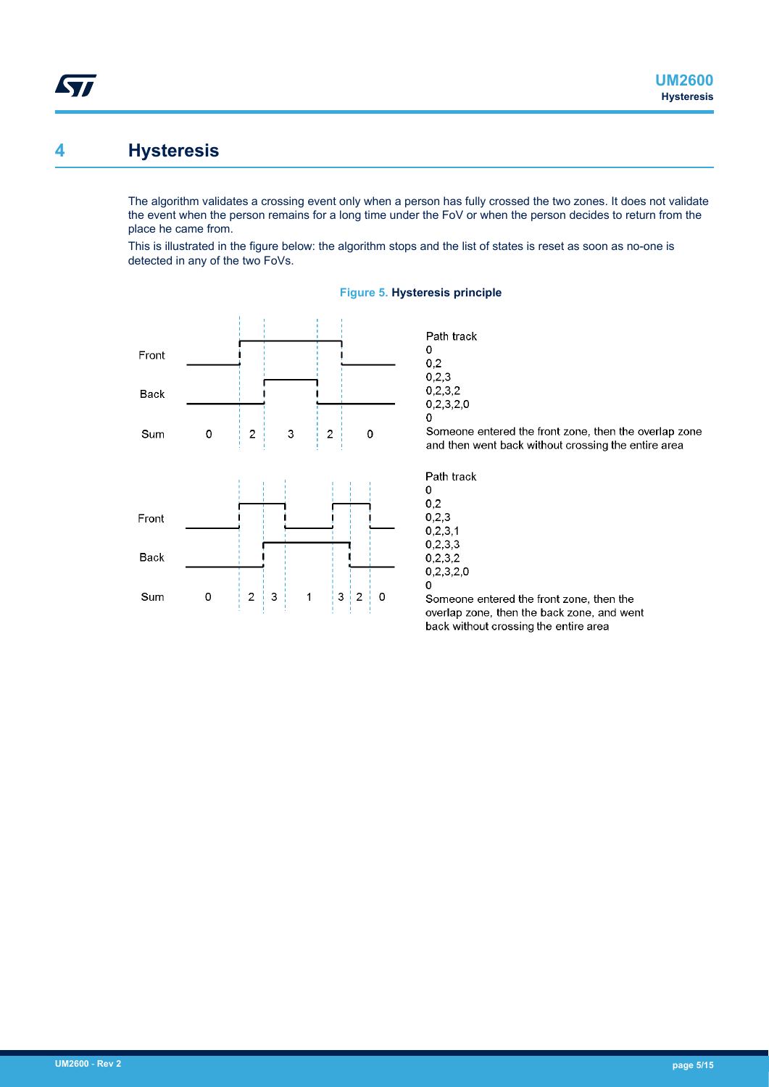## **4 Hysteresis**

<span id="page-4-0"></span>57

The algorithm validates a crossing event only when a person has fully crossed the two zones. It does not validate the event when the person remains for a long time under the FoV or when the person decides to return from the place he came from.

This is illustrated in the figure below: the algorithm stops and the list of states is reset as soon as no-one is detected in any of the two FoVs.



#### **Figure 5. Hysteresis principle**

Path track  $\Omega$ 

 $0.2$  $0,2,3$ 

 $0.2.3.2$  $0,2,3,2,0$  $\overline{0}$ Someone entered the front zone, then the overlap zone and then went back without crossing the entire area f

| Path track |
|------------|
| Ω          |
| 0.2        |
| 0.2.3      |
| 0.2, 3, 1  |
| 0.2,3,3    |
| 0.2.3.2    |
| 0.2.3.2.0  |
| o          |

Someone entered the front zone, then the overlap zone, then the back zone, and went back without crossing the entire area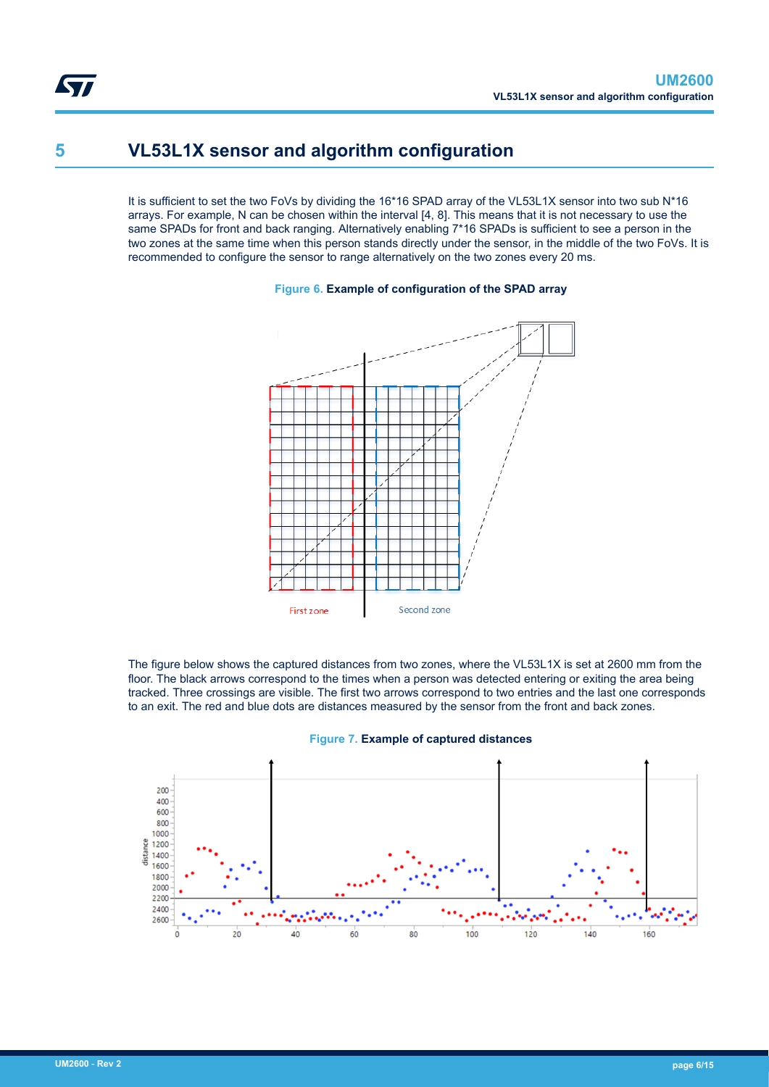## **5 VL53L1X sensor and algorithm configuration**

It is sufficient to set the two FoVs by dividing the 16\*16 SPAD array of the VL53L1X sensor into two sub N\*16 arrays. For example, N can be chosen within the interval [4, 8]. This means that it is not necessary to use the same SPADs for front and back ranging. Alternatively enabling 7\*16 SPADs is sufficient to see a person in the two zones at the same time when this person stands directly under the sensor, in the middle of the two FoVs. It is recommended to configure the sensor to range alternatively on the two zones every 20 ms.

### **Figure 6. Example of configuration of the SPAD array**



The figure below shows the captured distances from two zones, where the VL53L1X is set at 2600 mm from the floor. The black arrows correspond to the times when a person was detected entering or exiting the area being tracked. Three crossings are visible. The first two arrows correspond to two entries and the last one corresponds to an exit. The red and blue dots are distances measured by the sensor from the front and back zones.



#### **Figure 7. Example of captured distances**

<span id="page-5-0"></span>577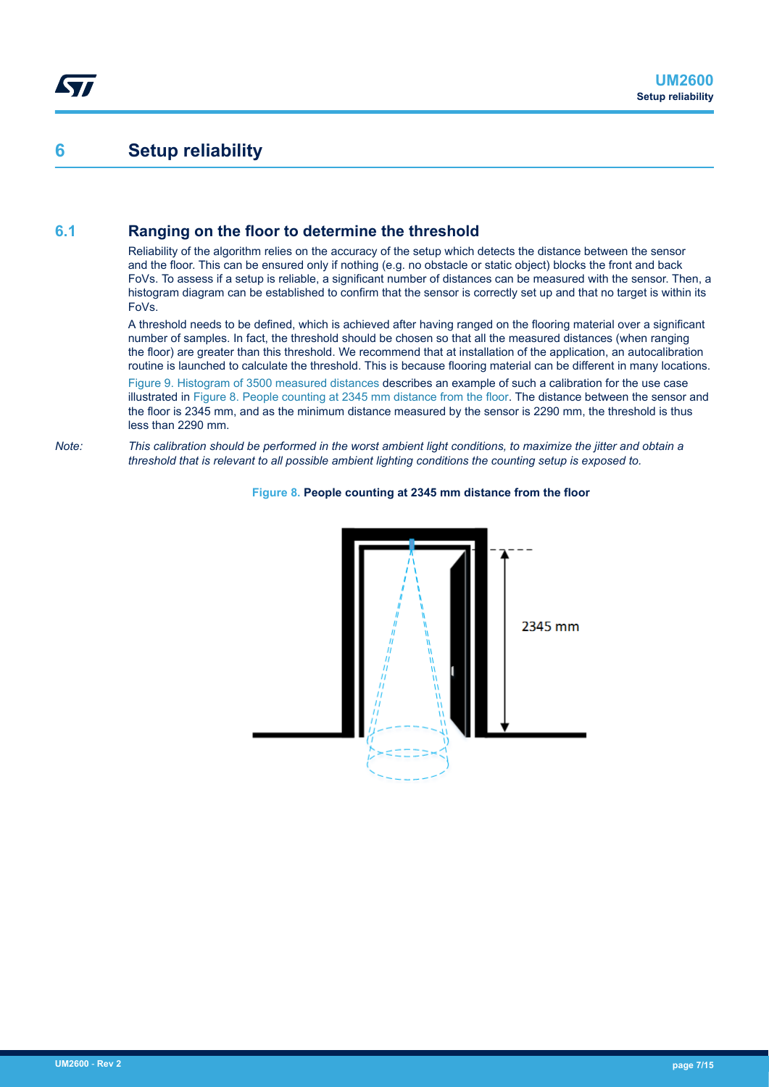## <span id="page-6-0"></span>**6 Setup reliability**

### **6.1 Ranging on the floor to determine the threshold**

Reliability of the algorithm relies on the accuracy of the setup which detects the distance between the sensor and the floor. This can be ensured only if nothing (e.g. no obstacle or static object) blocks the front and back FoVs. To assess if a setup is reliable, a significant number of distances can be measured with the sensor. Then, a histogram diagram can be established to confirm that the sensor is correctly set up and that no target is within its FoVs.

A threshold needs to be defined, which is achieved after having ranged on the flooring material over a significant number of samples. In fact, the threshold should be chosen so that all the measured distances (when ranging the floor) are greater than this threshold. We recommend that at installation of the application, an autocalibration routine is launched to calculate the threshold. This is because flooring material can be different in many locations.

[Figure 9. Histogram of 3500 measured distances](#page-7-0) describes an example of such a calibration for the use case illustrated in Figure 8. People counting at 2345 mm distance from the floor. The distance between the sensor and the floor is 2345 mm, and as the minimum distance measured by the sensor is 2290 mm, the threshold is thus less than 2290 mm.

*Note: This calibration should be performed in the worst ambient light conditions, to maximize the jitter and obtain a threshold that is relevant to all possible ambient lighting conditions the counting setup is exposed to.*



#### **Figure 8. People counting at 2345 mm distance from the floor**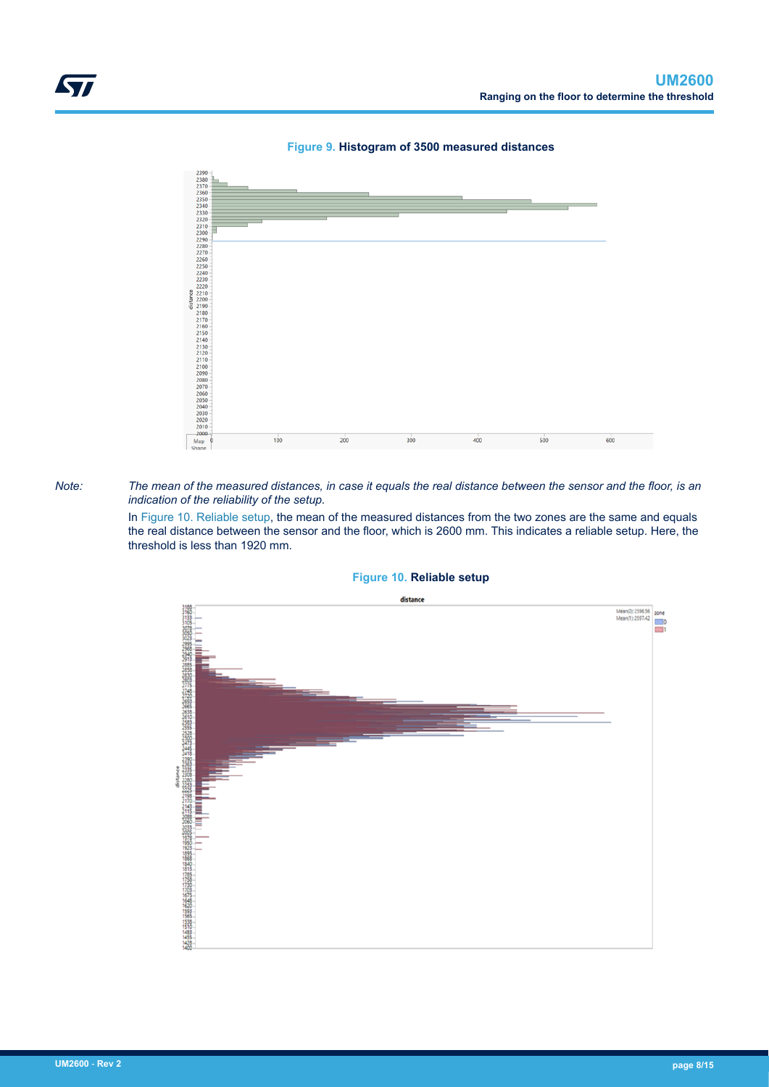

**Figure 9. Histogram of 3500 measured distances**

#### *Note: The mean of the measured distances, in case it equals the real distance between the sensor and the floor, is an indication of the reliability of the setup.*

In Figure 10. Reliable setup, the mean of the measured distances from the two zones are the same and equals the real distance between the sensor and the floor, which is 2600 mm. This indicates a reliable setup. Here, the threshold is less than 1920 mm.



### **Figure 10. Reliable setup**

<span id="page-7-0"></span>Ly,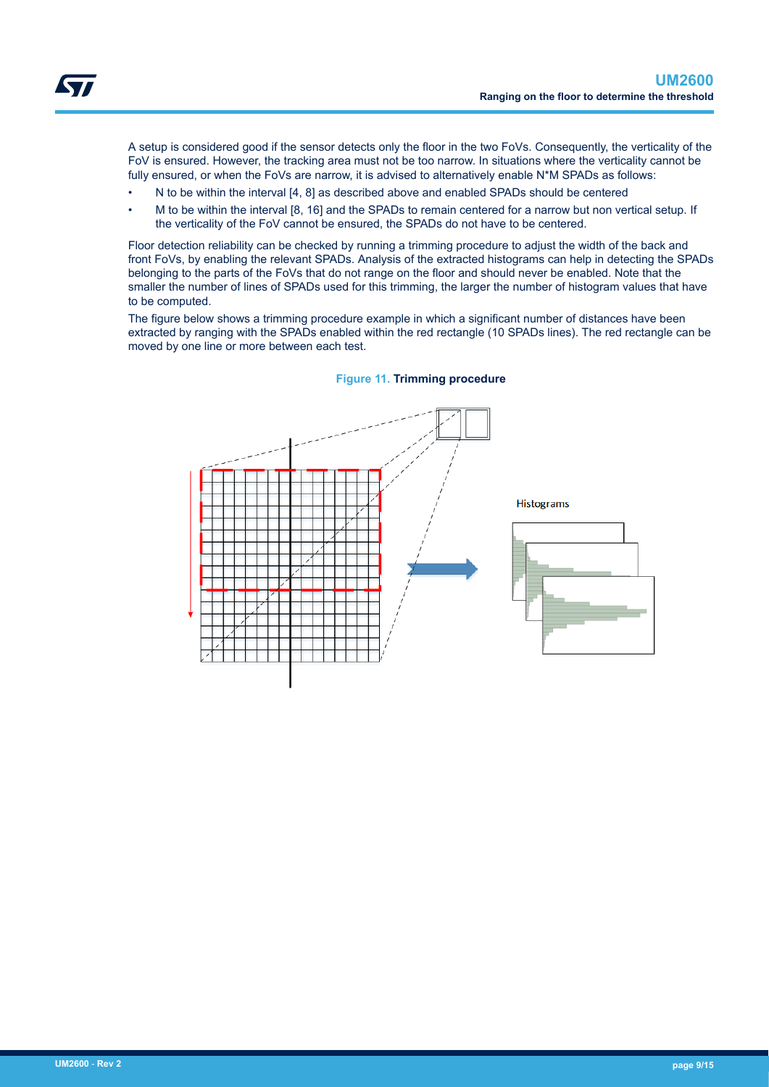A setup is considered good if the sensor detects only the floor in the two FoVs. Consequently, the verticality of the FoV is ensured. However, the tracking area must not be too narrow. In situations where the verticality cannot be fully ensured, or when the FoVs are narrow, it is advised to alternatively enable N\*M SPADs as follows:

- N to be within the interval [4, 8] as described above and enabled SPADs should be centered
- M to be within the interval [8, 16] and the SPADs to remain centered for a narrow but non vertical setup. If the verticality of the FoV cannot be ensured, the SPADs do not have to be centered.

Floor detection reliability can be checked by running a trimming procedure to adjust the width of the back and front FoVs, by enabling the relevant SPADs. Analysis of the extracted histograms can help in detecting the SPADs belonging to the parts of the FoVs that do not range on the floor and should never be enabled. Note that the smaller the number of lines of SPADs used for this trimming, the larger the number of histogram values that have to be computed.

The figure below shows a trimming procedure example in which a significant number of distances have been extracted by ranging with the SPADs enabled within the red rectangle (10 SPADs lines). The red rectangle can be moved by one line or more between each test.



#### **Figure 11. Trimming procedure**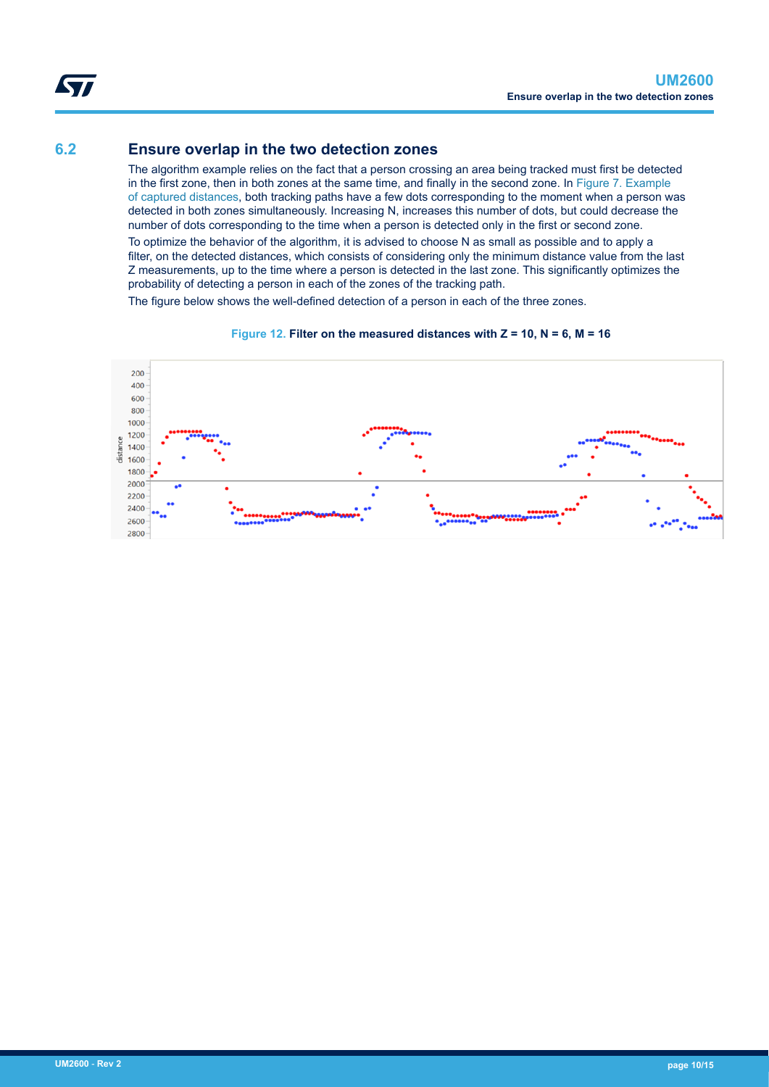### <span id="page-9-0"></span>**6.2 Ensure overlap in the two detection zones**

The algorithm example relies on the fact that a person crossing an area being tracked must first be detected in the first zone, then in both zones at the same time, and finally in the second zone. In [Figure 7. Example](#page-5-0) [of captured distances,](#page-5-0) both tracking paths have a few dots corresponding to the moment when a person was detected in both zones simultaneously. Increasing N, increases this number of dots, but could decrease the number of dots corresponding to the time when a person is detected only in the first or second zone.

To optimize the behavior of the algorithm, it is advised to choose N as small as possible and to apply a filter, on the detected distances, which consists of considering only the minimum distance value from the last Z measurements, up to the time where a person is detected in the last zone. This significantly optimizes the probability of detecting a person in each of the zones of the tracking path.

The figure below shows the well-defined detection of a person in each of the three zones.



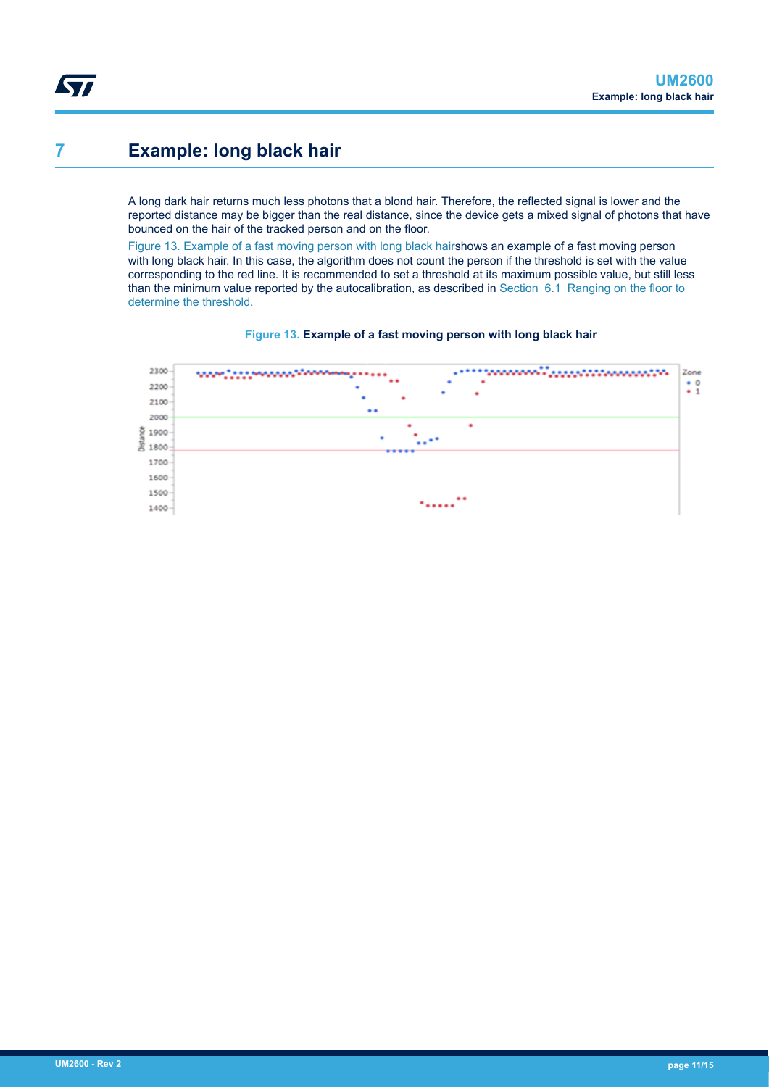## <span id="page-10-0"></span>**7 Example: long black hair**

A long dark hair returns much less photons that a blond hair. Therefore, the reflected signal is lower and the reported distance may be bigger than the real distance, since the device gets a mixed signal of photons that have bounced on the hair of the tracked person and on the floor.

Figure 13. Example of a fast moving person with long black hairshows an example of a fast moving person with long black hair. In this case, the algorithm does not count the person if the threshold is set with the value corresponding to the red line. It is recommended to set a threshold at its maximum possible value, but still less than the minimum value reported by the autocalibration, as described in [Section 6.1 Ranging on the floor to](#page-6-0) [determine the threshold.](#page-6-0)



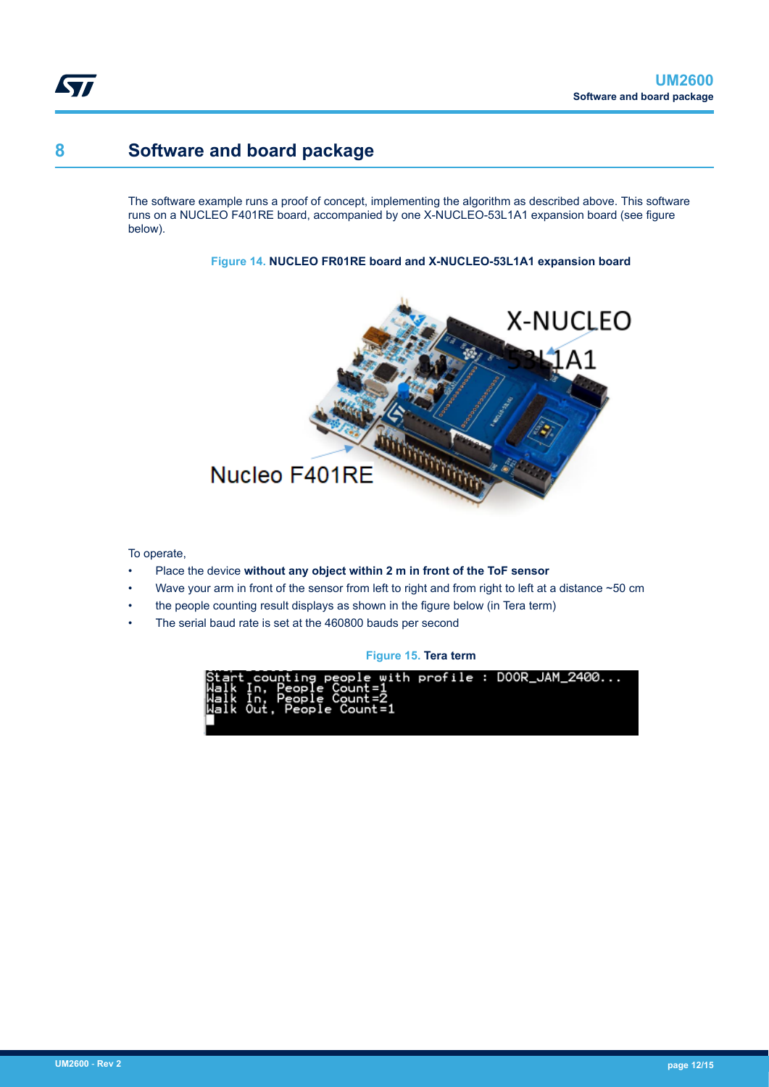## **8 Software and board package**

<span id="page-11-0"></span>Ly,

The software example runs a proof of concept, implementing the algorithm as described above. This software runs on a NUCLEO F401RE board, accompanied by one X-NUCLEO-53L1A1 expansion board (see figure below).

**Figure 14. NUCLEO FR01RE board and X-NUCLEO-53L1A1 expansion board**



To operate,

- Place the device **without any object within 2 m in front of the ToF sensor**
- Wave your arm in front of the sensor from left to right and from right to left at a distance ~50 cm
- the people counting result displays as shown in the figure below (in Tera term)
- The serial baud rate is set at the 460800 bauds per second

**Figure 15. Tera term**

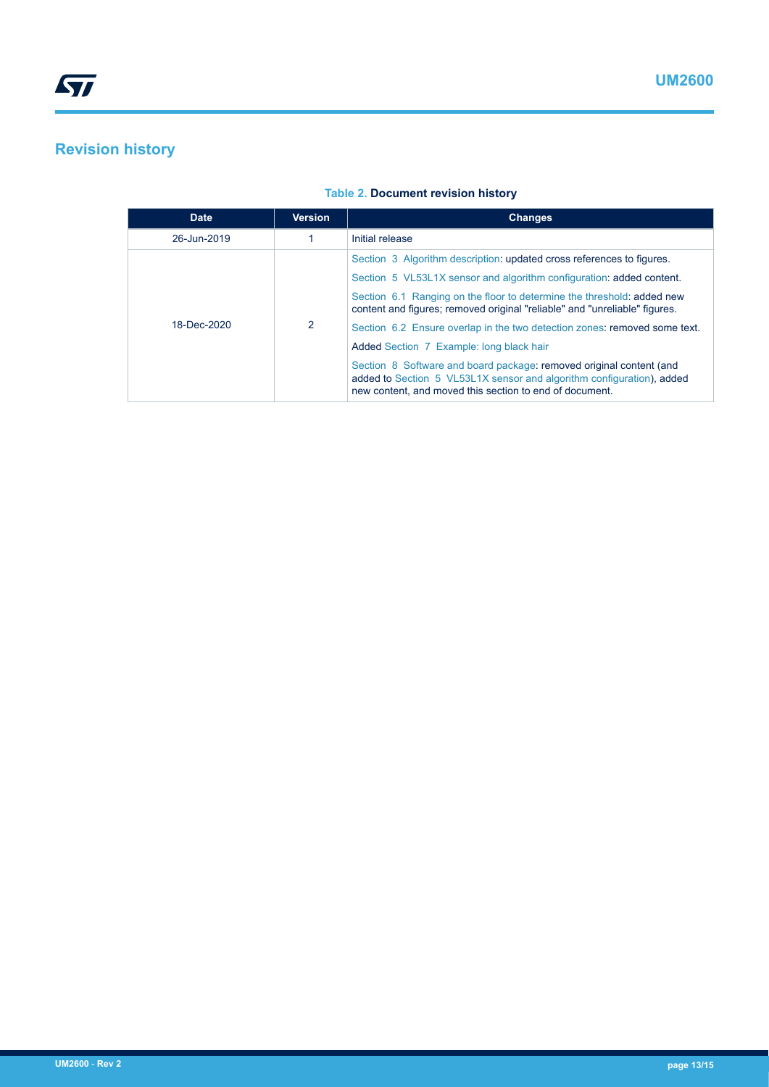# <span id="page-12-0"></span>**Revision history**

| <b>Date</b> | <b>Version</b> | <b>Changes</b>                                                                                                                                                                                          |
|-------------|----------------|---------------------------------------------------------------------------------------------------------------------------------------------------------------------------------------------------------|
| 26-Jun-2019 |                | Initial release                                                                                                                                                                                         |
| 18-Dec-2020 | 2              | Section 3 Algorithm description: updated cross references to figures.                                                                                                                                   |
|             |                | Section 5 VL53L1X sensor and algorithm configuration: added content.                                                                                                                                    |
|             |                | Section 6.1 Ranging on the floor to determine the threshold: added new<br>content and figures; removed original "reliable" and "unreliable" figures.                                                    |
|             |                | Section 6.2 Ensure overlap in the two detection zones: removed some text.                                                                                                                               |
|             |                | Added Section 7 Example: long black hair                                                                                                                                                                |
|             |                | Section 8 Software and board package: removed original content (and<br>added to Section 5 VL53L1X sensor and algorithm configuration), added<br>new content, and moved this section to end of document. |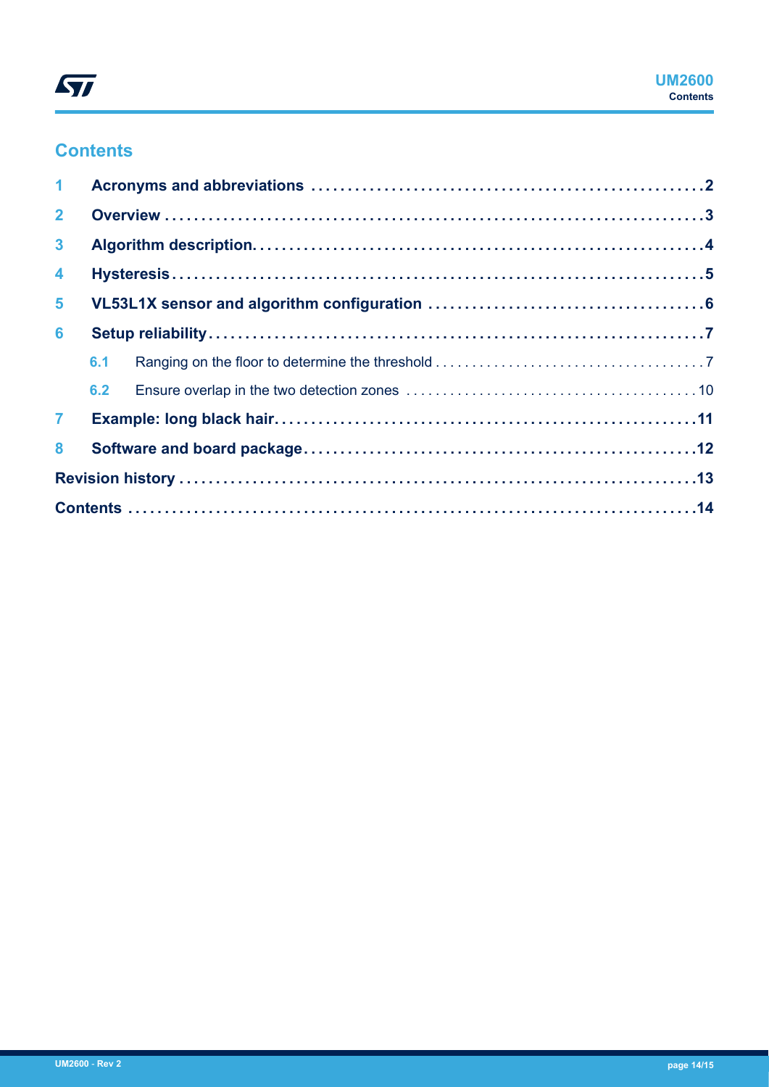

# **Contents**

| $\mathbf 1$      |     |  |  |  |
|------------------|-----|--|--|--|
| $\overline{2}$   |     |  |  |  |
| 3 <sup>1</sup>   |     |  |  |  |
| $\blacktriangle$ |     |  |  |  |
| 5 <sup>1</sup>   |     |  |  |  |
| 6                |     |  |  |  |
|                  | 6.1 |  |  |  |
|                  |     |  |  |  |
| $\mathbf{7}$     |     |  |  |  |
| 8                |     |  |  |  |
|                  |     |  |  |  |
|                  |     |  |  |  |